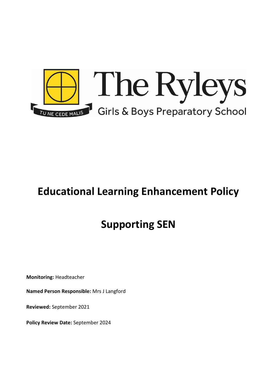

# **Educational Learning Enhancement Policy**

# **Supporting SEN**

**Monitoring:** Headteacher

**Named Person Responsible:** Mrs J Langford

**Reviewed:** September 2021

**Policy Review Date:** September 2024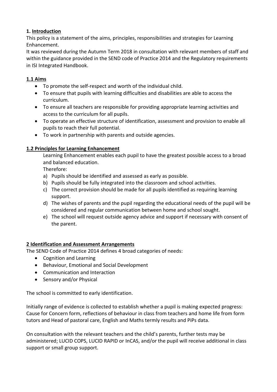## **1. Introduction**

This policy is a statement of the aims, principles, responsibilities and strategies for Learning Enhancement.

It was reviewed during the Autumn Term 2018 in consultation with relevant members of staff and within the guidance provided in the SEND code of Practice 2014 and the Regulatory requirements in ISI Integrated Handbook.

## **1.1 Aims**

- To promote the self-respect and worth of the individual child.
- To ensure that pupils with learning difficulties and disabilities are able to access the curriculum.
- To ensure all teachers are responsible for providing appropriate learning activities and access to the curriculum for all pupils.
- To operate an effective structure of identification, assessment and provision to enable all pupils to reach their full potential.
- To work in partnership with parents and outside agencies.

## **1.2 Principles for Learning Enhancement**

Learning Enhancement enables each pupil to have the greatest possible access to a broad and balanced education.

Therefore:

- a) Pupils should be identified and assessed as early as possible.
- b) Pupils should be fully integrated into the classroom and school activities.
- c) The correct provision should be made for all pupils identified as requiring learning support.
- d) The wishes of parents and the pupil regarding the educational needs of the pupil will be considered and regular communication between home and school sought.
- e) The school will request outside agency advice and support if necessary with consent of the parent.

## **2 Identification and Assessment Arrangements**

The SEND Code of Practice 2014 defines 4 broad categories of needs:

- Cognition and Learning
- Behaviour, Emotional and Social Development
- Communication and Interaction
- Sensory and/or Physical

The school is committed to early identification.

Initially range of evidence is collected to establish whether a pupil is making expected progress: Cause for Concern form, reflections of behaviour in class from teachers and home life from form tutors and Head of pastoral care, English and Maths termly results and PiPs data.

On consultation with the relevant teachers and the child's parents, further tests may be administered; LUCID COPS, LUCID RAPID or InCAS, and/or the pupil will receive additional in class support or small group support.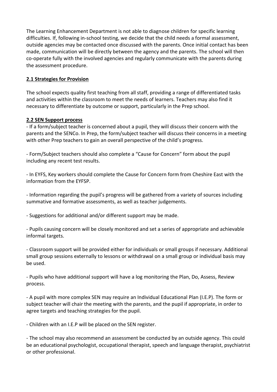The Learning Enhancement Department is not able to diagnose children for specific learning difficulties. If, following in-school testing, we decide that the child needs a formal assessment, outside agencies may be contacted once discussed with the parents. Once initial contact has been made, communication will be directly between the agency and the parents. The school will then co-operate fully with the involved agencies and regularly communicate with the parents during the assessment procedure.

### **2.1 Strategies for Provision**

The school expects quality first teaching from all staff, providing a range of differentiated tasks and activities within the classroom to meet the needs of learners. Teachers may also find it necessary to differentiate by outcome or support, particularly in the Prep school.

#### **2.2 SEN Support process**

- If a form/subject teacher is concerned about a pupil, they will discuss their concern with the parents and the SENCo. In Prep, the form/subject teacher will discuss their concerns in a meeting with other Prep teachers to gain an overall perspective of the child's progress.

- Form/Subject teachers should also complete a "Cause for Concern" form about the pupil including any recent test results.

- In EYFS, Key workers should complete the Cause for Concern form from Cheshire East with the information from the EYFSP.

- Information regarding the pupil's progress will be gathered from a variety of sources including summative and formative assessments, as well as teacher judgements.

- Suggestions for additional and/or different support may be made.

- Pupils causing concern will be closely monitored and set a series of appropriate and achievable informal targets.

- Classroom support will be provided either for individuals or small groups if necessary. Additional small group sessions externally to lessons or withdrawal on a small group or individual basis may be used.

- Pupils who have additional support will have a log monitoring the Plan, Do, Assess, Review process.

- A pupil with more complex SEN may require an Individual Educational Plan (I.E.P). The form or subject teacher will chair the meeting with the parents, and the pupil if appropriate, in order to agree targets and teaching strategies for the pupil.

- Children with an I.E.P will be placed on the SEN register.

- The school may also recommend an assessment be conducted by an outside agency. This could be an educational psychologist, occupational therapist, speech and language therapist, psychiatrist or other professional.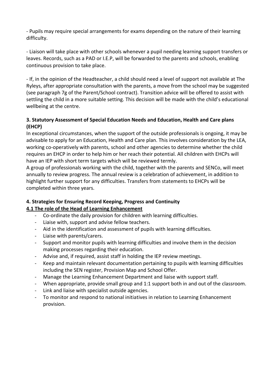- Pupils may require special arrangements for exams depending on the nature of their learning difficulty.

- Liaison will take place with other schools whenever a pupil needing learning support transfers or leaves. Records, such as a PAD or I.E.P, will be forwarded to the parents and schools, enabling continuous provision to take place.

- If, in the opinion of the Headteacher, a child should need a level of support not available at The Ryleys, after appropriate consultation with the parents, a move from the school may be suggested (see paragraph 7g of the Parent/School contract). Transition advice will be offered to assist with settling the child in a more suitable setting. This decision will be made with the child's educational wellbeing at the centre.

## **3. Statutory Assessment of Special Education Needs and Education, Health and Care plans (EHCP)**

In exceptional circumstances, when the support of the outside professionals is ongoing, it may be advisable to apply for an Education, Health and Care plan. This involves consideration by the LEA, working co-operatively with parents, school and other agencies to determine whether the child requires an EHCP in order to help him or her reach their potential. All children with EHCPs will have an IEP with short term targets which will be reviewed termly.

A group of professionals working with the child, together with the parents and SENCo, will meet annually to review progress. The annual review is a celebration of achievement, in addition to highlight further support for any difficulties. Transfers from statements to EHCPs will be completed within three years.

# **4. Strategies for Ensuring Record Keeping, Progress and Continuity 4.1 The role of the Head of Learning Enhancement**

- Co-ordinate the daily provision for children with learning difficulties.
- Liaise with, support and advise fellow teachers.
- Aid in the identification and assessment of pupils with learning difficulties.
- Liaise with parents/carers.
- Support and monitor pupils with learning difficulties and involve them in the decision making processes regarding their education.
- Advise and, if required, assist staff in holding the IEP review meetings.
- Keep and maintain relevant documentation pertaining to pupils with learning difficulties including the SEN register, Provision Map and School Offer.
- Manage the Learning Enhancement Department and liaise with support staff.
- When appropriate, provide small group and 1:1 support both in and out of the classroom.
- Link and liaise with specialist outside agencies.
- To monitor and respond to national initiatives in relation to Learning Enhancement provision.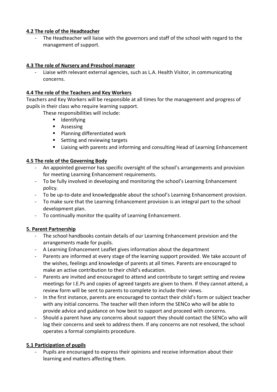### **4.2 The role of the Headteacher**

The Headteacher will liaise with the governors and staff of the school with regard to the management of support.

### **4.3 The role of Nursery and Preschool manager**

Liaise with relevant external agencies, such as L.A. Health Visitor, in communicating concerns.

## **4.4 The role of the Teachers and Key Workers**

Teachers and Key Workers will be responsible at all times for the management and progress of pupils in their class who require learning support.

These responsibilities will include:

- **I** Identifying
- **Assessing**
- **Planning differentiated work**
- Setting and reviewing targets
- Liaising with parents and informing and consulting Head of Learning Enhancement

## **4.5 The role of the Governing Body**

- An appointed governor has specific oversight of the school's arrangements and provision for meeting Learning Enhancement requirements.
- To be fully involved in developing and monitoring the school's Learning Enhancement policy.
- To be up-to-date and knowledgeable about the school's Learning Enhancement provision.
- To make sure that the Learning Enhancement provision is an integral part to the school development plan.
- To continually monitor the quality of Learning Enhancement.

## **5. Parent Partnership**

- The school handbooks contain details of our Learning Enhancement provision and the arrangements made for pupils.
- A Learning Enhancement Leaflet gives information about the department
- Parents are informed at every stage of the learning support provided. We take account of the wishes, feelings and knowledge of parents at all times. Parents are encouraged to make an active contribution to their child's education.
- Parents are invited and encouraged to attend and contribute to target setting and review meetings for I.E.Ps and copies of agreed targets are given to them. If they cannot attend, a review form will be sent to parents to complete to include their views.
- In the first instance, parents are encouraged to contact their child's form or subject teacher with any initial concerns. The teacher will then inform the SENCo who will be able to provide advice and guidance on how best to support and proceed with concerns.
- Should a parent have any concerns about support they should contact the SENCo who will log their concerns and seek to address them. If any concerns are not resolved, the school operates a formal complaints procedure.

## **5.1 Participation of pupils**

Pupils are encouraged to express their opinions and receive information about their learning and matters affecting them.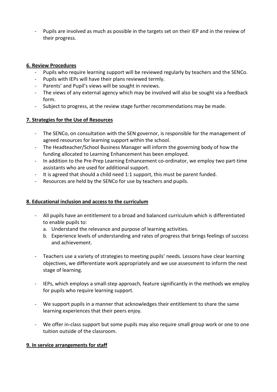Pupils are involved as much as possible in the targets set on their IEP and in the review of their progress.

#### **6. Review Procedures**

- Pupils who require learning support will be reviewed regularly by teachers and the SENCo.
- Pupils with IEPs will have their plans reviewed termly.
- Parents' and Pupil's views will be sought in reviews.
- The views of any external agency which may be involved will also be sought via a feedback form.
- Subject to progress, at the review stage further recommendations may be made.

#### **7. Strategies for the Use of Resources**

- The SENCo, on consultation with the SEN governor, is responsible for the management of agreed resources for learning support within the school.
- The Headteacher/School Business Manager will inform the governing body of how the funding allocated to Learning Enhancement has been employed.
- In addition to the Pre-Prep Learning Enhancement co-ordinator, we employ two part-time assistants who are used for additional support.
- It is agreed that should a child need 1:1 support, this must be parent funded.
- Resources are held by the SENCo for use by teachers and pupils.

#### **8. Educational inclusion and access to the curriculum**

- All pupils have an entitlement to a broad and balanced curriculum which is differentiated to enable pupils to:
	- a. Understand the relevance and purpose of learning activities.
	- b. Experience levels of understanding and rates of progress that brings feelings of success and achievement.
- Teachers use a variety of strategies to meeting pupils' needs. Lessons have clear learning objectives, we differentiate work appropriately and we use assessment to inform the next stage of learning.
- IEPs, which employs a small-step approach, feature significantly in the methods we employ for pupils who require learning support.
- We support pupils in a manner that acknowledges their entitlement to share the same learning experiences that their peers enjoy.
- We offer in-class support but some pupils may also require small group work or one to one tuition outside of the classroom.

#### **9. In service arrangements for staff**